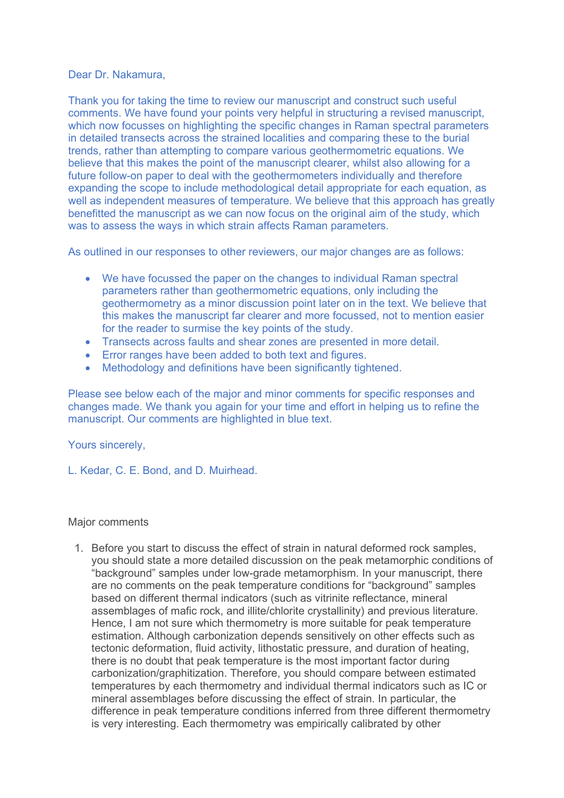### Dear Dr. Nakamura,

Thank you for taking the time to review our manuscript and construct such useful comments. We have found your points very helpful in structuring a revised manuscript, which now focusses on highlighting the specific changes in Raman spectral parameters in detailed transects across the strained localities and comparing these to the burial trends, rather than attempting to compare various geothermometric equations. We believe that this makes the point of the manuscript clearer, whilst also allowing for a future follow-on paper to deal with the geothermometers individually and therefore expanding the scope to include methodological detail appropriate for each equation, as well as independent measures of temperature. We believe that this approach has greatly benefitted the manuscript as we can now focus on the original aim of the study, which was to assess the ways in which strain affects Raman parameters.

As outlined in our responses to other reviewers, our major changes are as follows:

- We have focussed the paper on the changes to individual Raman spectral parameters rather than geothermometric equations, only including the geothermometry as a minor discussion point later on in the text. We believe that this makes the manuscript far clearer and more focussed, not to mention easier for the reader to surmise the key points of the study.
- Transects across faults and shear zones are presented in more detail.
- Error ranges have been added to both text and figures.
- Methodology and definitions have been significantly tightened.

Please see below each of the major and minor comments for specific responses and changes made. We thank you again for your time and effort in helping us to refine the manuscript. Our comments are highlighted in blue text.

# Yours sincerely,

L. Kedar, C. E. Bond, and D. Muirhead.

# Major comments

1. Before you start to discuss the effect of strain in natural deformed rock samples, you should state a more detailed discussion on the peak metamorphic conditions of "background" samples under low-grade metamorphism. In your manuscript, there are no comments on the peak temperature conditions for "background" samples based on different thermal indicators (such as vitrinite reflectance, mineral assemblages of mafic rock, and illite/chlorite crystallinity) and previous literature. Hence, I am not sure which thermometry is more suitable for peak temperature estimation. Although carbonization depends sensitively on other effects such as tectonic deformation, fluid activity, lithostatic pressure, and duration of heating, there is no doubt that peak temperature is the most important factor during carbonization/graphitization. Therefore, you should compare between estimated temperatures by each thermometry and individual thermal indicators such as IC or mineral assemblages before discussing the effect of strain. In particular, the difference in peak temperature conditions inferred from three different thermometry is very interesting. Each thermometry was empirically calibrated by other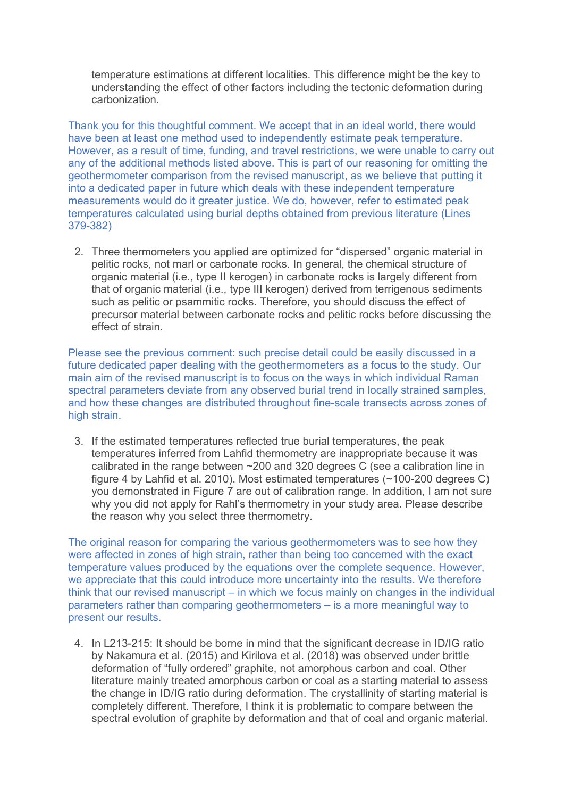temperature estimations at different localities. This difference might be the key to understanding the effect of other factors including the tectonic deformation during carbonization.

Thank you for this thoughtful comment. We accept that in an ideal world, there would have been at least one method used to independently estimate peak temperature. However, as a result of time, funding, and travel restrictions, we were unable to carry out any of the additional methods listed above. This is part of our reasoning for omitting the geothermometer comparison from the revised manuscript, as we believe that putting it into a dedicated paper in future which deals with these independent temperature measurements would do it greater justice. We do, however, refer to estimated peak temperatures calculated using burial depths obtained from previous literature (Lines 379-382)

2. Three thermometers you applied are optimized for "dispersed" organic material in pelitic rocks, not marl or carbonate rocks. In general, the chemical structure of organic material (i.e., type II kerogen) in carbonate rocks is largely different from that of organic material (i.e., type III kerogen) derived from terrigenous sediments such as pelitic or psammitic rocks. Therefore, you should discuss the effect of precursor material between carbonate rocks and pelitic rocks before discussing the effect of strain.

Please see the previous comment: such precise detail could be easily discussed in a future dedicated paper dealing with the geothermometers as a focus to the study. Our main aim of the revised manuscript is to focus on the ways in which individual Raman spectral parameters deviate from any observed burial trend in locally strained samples, and how these changes are distributed throughout fine-scale transects across zones of high strain.

3. If the estimated temperatures reflected true burial temperatures, the peak temperatures inferred from Lahfid thermometry are inappropriate because it was calibrated in the range between ~200 and 320 degrees C (see a calibration line in figure 4 by Lahfid et al. 2010). Most estimated temperatures (~100-200 degrees C) you demonstrated in Figure 7 are out of calibration range. In addition, I am not sure why you did not apply for Rahl's thermometry in your study area. Please describe the reason why you select three thermometry.

The original reason for comparing the various geothermometers was to see how they were affected in zones of high strain, rather than being too concerned with the exact temperature values produced by the equations over the complete sequence. However, we appreciate that this could introduce more uncertainty into the results. We therefore think that our revised manuscript – in which we focus mainly on changes in the individual parameters rather than comparing geothermometers – is a more meaningful way to present our results.

4. In L213-215: It should be borne in mind that the significant decrease in ID/IG ratio by Nakamura et al. (2015) and Kirilova et al. (2018) was observed under brittle deformation of "fully ordered" graphite, not amorphous carbon and coal. Other literature mainly treated amorphous carbon or coal as a starting material to assess the change in ID/IG ratio during deformation. The crystallinity of starting material is completely different. Therefore, I think it is problematic to compare between the spectral evolution of graphite by deformation and that of coal and organic material.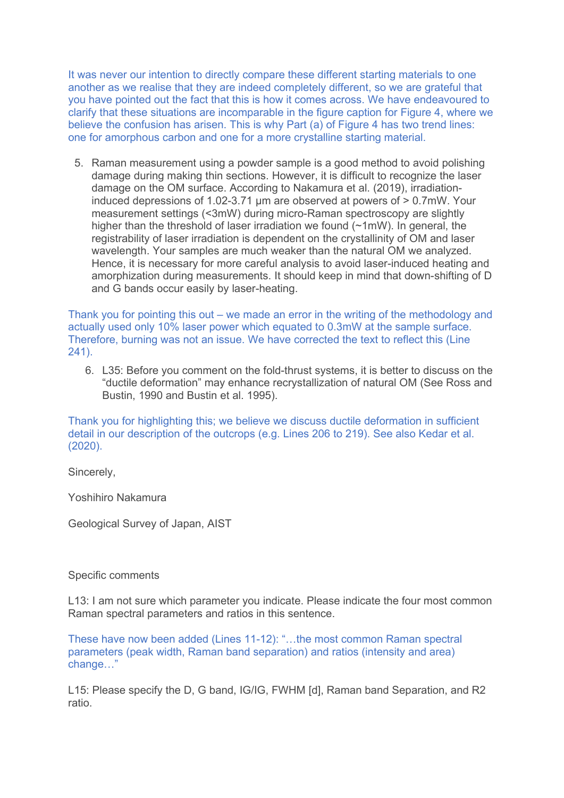It was never our intention to directly compare these different starting materials to one another as we realise that they are indeed completely different, so we are grateful that you have pointed out the fact that this is how it comes across. We have endeavoured to clarify that these situations are incomparable in the figure caption for Figure 4, where we believe the confusion has arisen. This is why Part (a) of Figure 4 has two trend lines: one for amorphous carbon and one for a more crystalline starting material.

5. Raman measurement using a powder sample is a good method to avoid polishing damage during making thin sections. However, it is difficult to recognize the laser damage on the OM surface. According to Nakamura et al. (2019), irradiationinduced depressions of 1.02-3.71 μm are observed at powers of > 0.7mW. Your measurement settings (<3mW) during micro-Raman spectroscopy are slightly higher than the threshold of laser irradiation we found (~1mW). In general, the registrability of laser irradiation is dependent on the crystallinity of OM and laser wavelength. Your samples are much weaker than the natural OM we analyzed. Hence, it is necessary for more careful analysis to avoid laser-induced heating and amorphization during measurements. It should keep in mind that down-shifting of D and G bands occur easily by laser-heating.

Thank you for pointing this out – we made an error in the writing of the methodology and actually used only 10% laser power which equated to 0.3mW at the sample surface. Therefore, burning was not an issue. We have corrected the text to reflect this (Line 241).

6. L35: Before you comment on the fold-thrust systems, it is better to discuss on the "ductile deformation" may enhance recrystallization of natural OM (See Ross and Bustin, 1990 and Bustin et al. 1995).

Thank you for highlighting this; we believe we discuss ductile deformation in sufficient detail in our description of the outcrops (e.g. Lines 206 to 219). See also Kedar et al. (2020).

Sincerely,

Yoshihiro Nakamura

Geological Survey of Japan, AIST

### Specific comments

L13: I am not sure which parameter you indicate. Please indicate the four most common Raman spectral parameters and ratios in this sentence.

These have now been added (Lines 11-12): "…the most common Raman spectral parameters (peak width, Raman band separation) and ratios (intensity and area) change…"

L15: Please specify the D, G band, IG/IG, FWHM [d], Raman band Separation, and R2 ratio.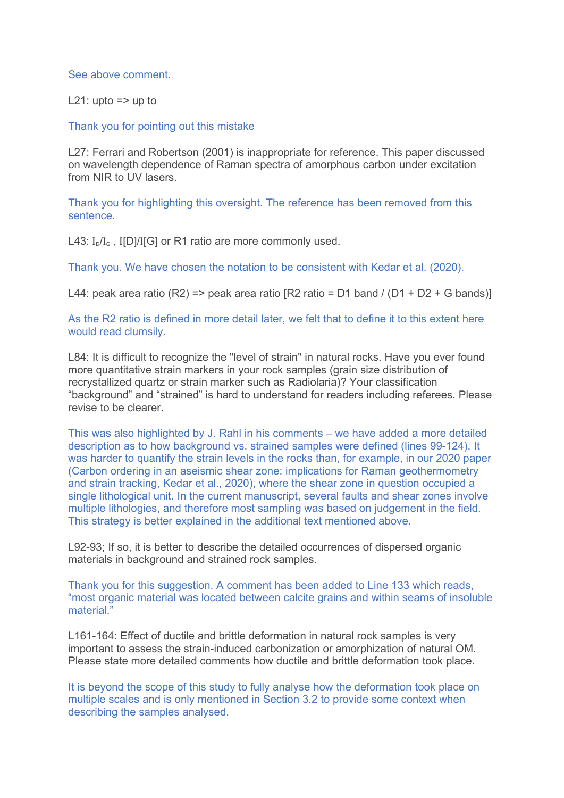See above comment.

L21: upto  $\Rightarrow$  up to

Thank you for pointing out this mistake

L27: Ferrari and Robertson (2001) is inappropriate for reference. This paper discussed on wavelength dependence of Raman spectra of amorphous carbon under excitation from NIR to UV lasers.

Thank you for highlighting this oversight. The reference has been removed from this sentence.

L43:  $I_D/I_G$ , I[D]/I[G] or R1 ratio are more commonly used.

Thank you. We have chosen the notation to be consistent with Kedar et al. (2020).

L44: peak area ratio (R2) => peak area ratio [R2 ratio = D1 band / (D1 + D2 + G bands)]

As the R2 ratio is defined in more detail later, we felt that to define it to this extent here would read clumsily.

L84: It is difficult to recognize the "level of strain" in natural rocks. Have you ever found more quantitative strain markers in your rock samples (grain size distribution of recrystallized quartz or strain marker such as Radiolaria)? Your classification "background" and "strained" is hard to understand for readers including referees. Please revise to be clearer.

This was also highlighted by J. Rahl in his comments – we have added a more detailed description as to how background vs. strained samples were defined (lines 99-124). It was harder to quantify the strain levels in the rocks than, for example, in our 2020 paper (Carbon ordering in an aseismic shear zone: implications for Raman geothermometry and strain tracking, Kedar et al., 2020), where the shear zone in question occupied a single lithological unit. In the current manuscript, several faults and shear zones involve multiple lithologies, and therefore most sampling was based on judgement in the field. This strategy is better explained in the additional text mentioned above.

L92-93; If so, it is better to describe the detailed occurrences of dispersed organic materials in background and strained rock samples.

Thank you for this suggestion. A comment has been added to Line 133 which reads, "most organic material was located between calcite grains and within seams of insoluble material."

L161-164: Effect of ductile and brittle deformation in natural rock samples is very important to assess the strain-induced carbonization or amorphization of natural OM. Please state more detailed comments how ductile and brittle deformation took place.

It is beyond the scope of this study to fully analyse how the deformation took place on multiple scales and is only mentioned in Section 3.2 to provide some context when describing the samples analysed.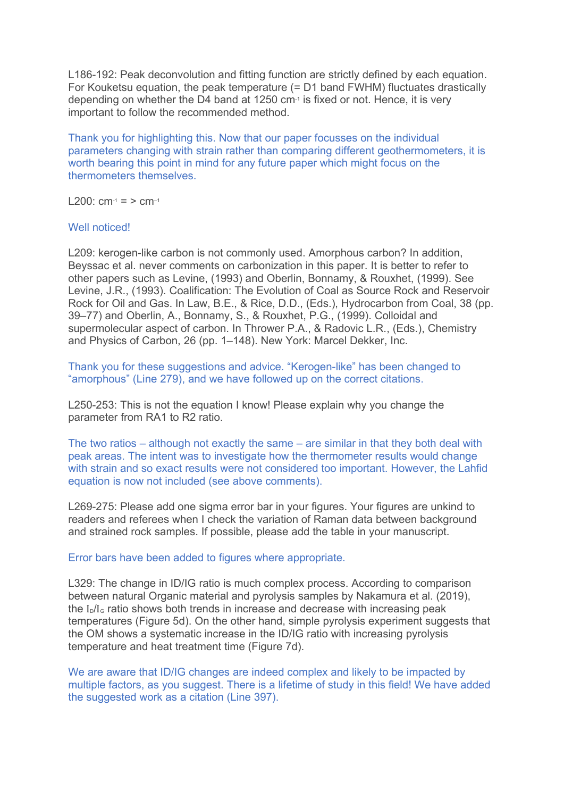L186-192: Peak deconvolution and fitting function are strictly defined by each equation. For Kouketsu equation, the peak temperature (= D1 band FWHM) fluctuates drastically depending on whether the D4 band at 1250 cm-1 is fixed or not. Hence, it is very important to follow the recommended method.

Thank you for highlighting this. Now that our paper focusses on the individual parameters changing with strain rather than comparing different geothermometers, it is worth bearing this point in mind for any future paper which might focus on the thermometers themselves.

L200:  $cm_{-1} = 5 cm_{-1}$ 

# Well noticed!

L209: kerogen-like carbon is not commonly used. Amorphous carbon? In addition, Beyssac et al. never comments on carbonization in this paper. It is better to refer to other papers such as Levine, (1993) and Oberlin, Bonnamy, & Rouxhet, (1999). See Levine, J.R., (1993). Coalification: The Evolution of Coal as Source Rock and Reservoir Rock for Oil and Gas. In Law, B.E., & Rice, D.D., (Eds.), Hydrocarbon from Coal, 38 (pp. 39–77) and Oberlin, A., Bonnamy, S., & Rouxhet, P.G., (1999). Colloidal and supermolecular aspect of carbon. In Thrower P.A., & Radovic L.R., (Eds.), Chemistry and Physics of Carbon, 26 (pp. 1–148). New York: Marcel Dekker, Inc.

Thank you for these suggestions and advice. "Kerogen-like" has been changed to "amorphous" (Line 279), and we have followed up on the correct citations.

L250-253: This is not the equation I know! Please explain why you change the parameter from RA1 to R2 ratio.

The two ratios – although not exactly the same – are similar in that they both deal with peak areas. The intent was to investigate how the thermometer results would change with strain and so exact results were not considered too important. However, the Lahfid equation is now not included (see above comments).

L269-275: Please add one sigma error bar in your figures. Your figures are unkind to readers and referees when I check the variation of Raman data between background and strained rock samples. If possible, please add the table in your manuscript.

#### Error bars have been added to figures where appropriate.

L329: The change in ID/IG ratio is much complex process. According to comparison between natural Organic material and pyrolysis samples by Nakamura et al. (2019), the  $I_0/I_0$  ratio shows both trends in increase and decrease with increasing peak temperatures (Figure 5d). On the other hand, simple pyrolysis experiment suggests that the OM shows a systematic increase in the ID/IG ratio with increasing pyrolysis temperature and heat treatment time (Figure 7d).

We are aware that ID/IG changes are indeed complex and likely to be impacted by multiple factors, as you suggest. There is a lifetime of study in this field! We have added the suggested work as a citation (Line 397).